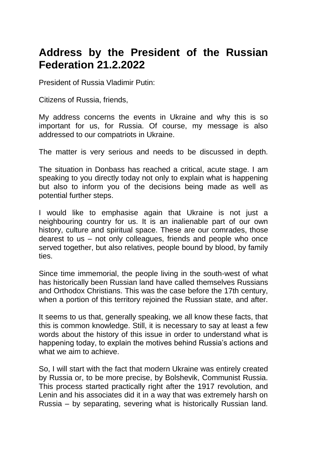## **Address by the President of the Russian Federation 21.2.2022**

President of Russia Vladimir Putin:

Citizens of Russia, friends,

My address concerns the events in Ukraine and why this is so important for us, for Russia. Of course, my message is also addressed to our compatriots in Ukraine.

The matter is very serious and needs to be discussed in depth.

The situation in Donbass has reached a critical, acute stage. I am speaking to you directly today not only to explain what is happening but also to inform you of the decisions being made as well as potential further steps.

I would like to emphasise again that Ukraine is not just a neighbouring country for us. It is an inalienable part of our own history, culture and spiritual space. These are our comrades, those dearest to us – not only colleagues, friends and people who once served together, but also relatives, people bound by blood, by family ties.

Since time immemorial, the people living in the south-west of what has historically been Russian land have called themselves Russians and Orthodox Christians. This was the case before the 17th century, when a portion of this territory rejoined the Russian state, and after.

It seems to us that, generally speaking, we all know these facts, that this is common knowledge. Still, it is necessary to say at least a few words about the history of this issue in order to understand what is happening today, to explain the motives behind Russia's actions and what we aim to achieve.

So, I will start with the fact that modern Ukraine was entirely created by Russia or, to be more precise, by Bolshevik, Communist Russia. This process started practically right after the 1917 revolution, and Lenin and his associates did it in a way that was extremely harsh on Russia – by separating, severing what is historically Russian land.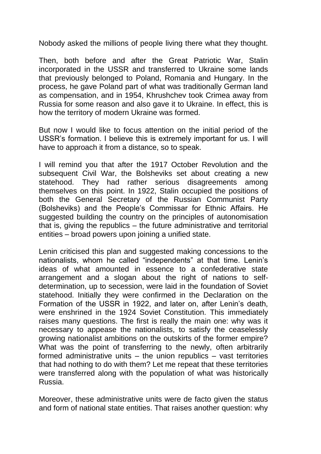Nobody asked the millions of people living there what they thought.

Then, both before and after the Great Patriotic War, Stalin incorporated in the USSR and transferred to Ukraine some lands that previously belonged to Poland, Romania and Hungary. In the process, he gave Poland part of what was traditionally German land as compensation, and in 1954, Khrushchev took Crimea away from Russia for some reason and also gave it to Ukraine. In effect, this is how the territory of modern Ukraine was formed.

But now I would like to focus attention on the initial period of the USSR's formation. I believe this is extremely important for us. I will have to approach it from a distance, so to speak.

I will remind you that after the 1917 October Revolution and the subsequent Civil War, the Bolsheviks set about creating a new statehood. They had rather serious disagreements among themselves on this point. In 1922, Stalin occupied the positions of both the General Secretary of the Russian Communist Party (Bolsheviks) and the People's Commissar for Ethnic Affairs. He suggested building the country on the principles of autonomisation that is, giving the republics – the future administrative and territorial entities – broad powers upon joining a unified state.

Lenin criticised this plan and suggested making concessions to the nationalists, whom he called "independents" at that time. Lenin's ideas of what amounted in essence to a confederative state arrangement and a slogan about the right of nations to selfdetermination, up to secession, were laid in the foundation of Soviet statehood. Initially they were confirmed in the Declaration on the Formation of the USSR in 1922, and later on, after Lenin's death, were enshrined in the 1924 Soviet Constitution. This immediately raises many questions. The first is really the main one: why was it necessary to appease the nationalists, to satisfy the ceaselessly growing nationalist ambitions on the outskirts of the former empire? What was the point of transferring to the newly, often arbitrarily formed administrative units – the union republics – vast territories that had nothing to do with them? Let me repeat that these territories were transferred along with the population of what was historically Russia.

Moreover, these administrative units were de facto given the status and form of national state entities. That raises another question: why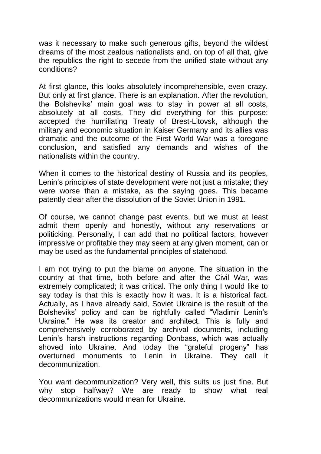was it necessary to make such generous gifts, beyond the wildest dreams of the most zealous nationalists and, on top of all that, give the republics the right to secede from the unified state without any conditions?

At first glance, this looks absolutely incomprehensible, even crazy. But only at first glance. There is an explanation. After the revolution, the Bolsheviks' main goal was to stay in power at all costs, absolutely at all costs. They did everything for this purpose: accepted the humiliating Treaty of Brest-Litovsk, although the military and economic situation in Kaiser Germany and its allies was dramatic and the outcome of the First World War was a foregone conclusion, and satisfied any demands and wishes of the nationalists within the country.

When it comes to the historical destiny of Russia and its peoples, Lenin's principles of state development were not just a mistake; they were worse than a mistake, as the saying goes. This became patently clear after the dissolution of the Soviet Union in 1991.

Of course, we cannot change past events, but we must at least admit them openly and honestly, without any reservations or politicking. Personally, I can add that no political factors, however impressive or profitable they may seem at any given moment, can or may be used as the fundamental principles of statehood.

I am not trying to put the blame on anyone. The situation in the country at that time, both before and after the Civil War, was extremely complicated; it was critical. The only thing I would like to say today is that this is exactly how it was. It is a historical fact. Actually, as I have already said, Soviet Ukraine is the result of the Bolsheviks' policy and can be rightfully called "Vladimir Lenin's Ukraine." He was its creator and architect. This is fully and comprehensively corroborated by archival documents, including Lenin's harsh instructions regarding Donbass, which was actually shoved into Ukraine. And today the "grateful progeny" has overturned monuments to Lenin in Ukraine. They call it decommunization.

You want decommunization? Very well, this suits us just fine. But why stop halfway? We are ready to show what real decommunizations would mean for Ukraine.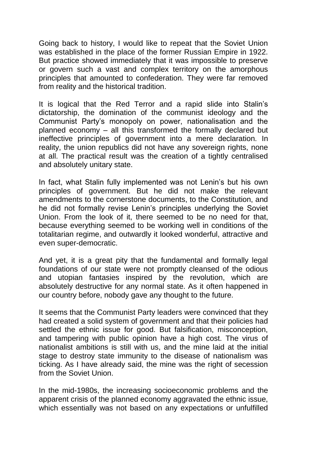Going back to history, I would like to repeat that the Soviet Union was established in the place of the former Russian Empire in 1922. But practice showed immediately that it was impossible to preserve or govern such a vast and complex territory on the amorphous principles that amounted to confederation. They were far removed from reality and the historical tradition.

It is logical that the Red Terror and a rapid slide into Stalin's dictatorship, the domination of the communist ideology and the Communist Party's monopoly on power, nationalisation and the planned economy – all this transformed the formally declared but ineffective principles of government into a mere declaration. In reality, the union republics did not have any sovereign rights, none at all. The practical result was the creation of a tightly centralised and absolutely unitary state.

In fact, what Stalin fully implemented was not Lenin's but his own principles of government. But he did not make the relevant amendments to the cornerstone documents, to the Constitution, and he did not formally revise Lenin's principles underlying the Soviet Union. From the look of it, there seemed to be no need for that, because everything seemed to be working well in conditions of the totalitarian regime, and outwardly it looked wonderful, attractive and even super-democratic.

And yet, it is a great pity that the fundamental and formally legal foundations of our state were not promptly cleansed of the odious and utopian fantasies inspired by the revolution, which are absolutely destructive for any normal state. As it often happened in our country before, nobody gave any thought to the future.

It seems that the Communist Party leaders were convinced that they had created a solid system of government and that their policies had settled the ethnic issue for good. But falsification, misconception, and tampering with public opinion have a high cost. The virus of nationalist ambitions is still with us, and the mine laid at the initial stage to destroy state immunity to the disease of nationalism was ticking. As I have already said, the mine was the right of secession from the Soviet Union.

In the mid-1980s, the increasing socioeconomic problems and the apparent crisis of the planned economy aggravated the ethnic issue, which essentially was not based on any expectations or unfulfilled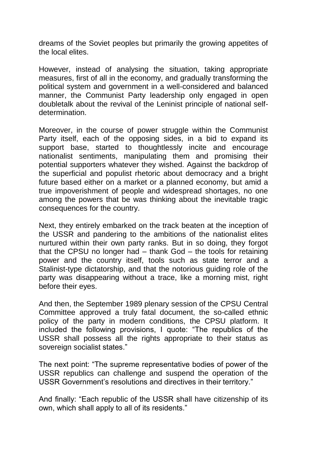dreams of the Soviet peoples but primarily the growing appetites of the local elites.

However, instead of analysing the situation, taking appropriate measures, first of all in the economy, and gradually transforming the political system and government in a well-considered and balanced manner, the Communist Party leadership only engaged in open doubletalk about the revival of the Leninist principle of national selfdetermination.

Moreover, in the course of power struggle within the Communist Party itself, each of the opposing sides, in a bid to expand its support base, started to thoughtlessly incite and encourage nationalist sentiments, manipulating them and promising their potential supporters whatever they wished. Against the backdrop of the superficial and populist rhetoric about democracy and a bright future based either on a market or a planned economy, but amid a true impoverishment of people and widespread shortages, no one among the powers that be was thinking about the inevitable tragic consequences for the country.

Next, they entirely embarked on the track beaten at the inception of the USSR and pandering to the ambitions of the nationalist elites nurtured within their own party ranks. But in so doing, they forgot that the CPSU no longer had – thank God – the tools for retaining power and the country itself, tools such as state terror and a Stalinist-type dictatorship, and that the notorious guiding role of the party was disappearing without a trace, like a morning mist, right before their eyes.

And then, the September 1989 plenary session of the CPSU Central Committee approved a truly fatal document, the so-called ethnic policy of the party in modern conditions, the CPSU platform. It included the following provisions, I quote: "The republics of the USSR shall possess all the rights appropriate to their status as sovereign socialist states."

The next point: "The supreme representative bodies of power of the USSR republics can challenge and suspend the operation of the USSR Government's resolutions and directives in their territory."

And finally: "Each republic of the USSR shall have citizenship of its own, which shall apply to all of its residents."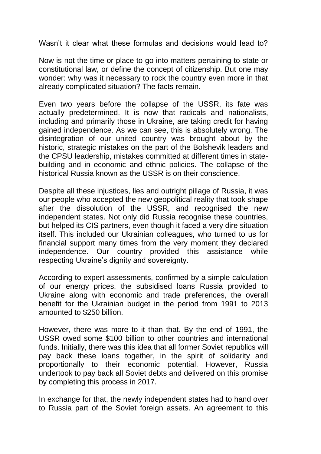Wasn't it clear what these formulas and decisions would lead to?

Now is not the time or place to go into matters pertaining to state or constitutional law, or define the concept of citizenship. But one may wonder: why was it necessary to rock the country even more in that already complicated situation? The facts remain.

Even two years before the collapse of the USSR, its fate was actually predetermined. It is now that radicals and nationalists, including and primarily those in Ukraine, are taking credit for having gained independence. As we can see, this is absolutely wrong. The disintegration of our united country was brought about by the historic, strategic mistakes on the part of the Bolshevik leaders and the CPSU leadership, mistakes committed at different times in statebuilding and in economic and ethnic policies. The collapse of the historical Russia known as the USSR is on their conscience.

Despite all these injustices, lies and outright pillage of Russia, it was our people who accepted the new geopolitical reality that took shape after the dissolution of the USSR, and recognised the new independent states. Not only did Russia recognise these countries, but helped its CIS partners, even though it faced a very dire situation itself. This included our Ukrainian colleagues, who turned to us for financial support many times from the very moment they declared independence. Our country provided this assistance while respecting Ukraine's dignity and sovereignty.

According to expert assessments, confirmed by a simple calculation of our energy prices, the subsidised loans Russia provided to Ukraine along with economic and trade preferences, the overall benefit for the Ukrainian budget in the period from 1991 to 2013 amounted to \$250 billion.

However, there was more to it than that. By the end of 1991, the USSR owed some \$100 billion to other countries and international funds. Initially, there was this idea that all former Soviet republics will pay back these loans together, in the spirit of solidarity and proportionally to their economic potential. However, Russia undertook to pay back all Soviet debts and delivered on this promise by completing this process in 2017.

In exchange for that, the newly independent states had to hand over to Russia part of the Soviet foreign assets. An agreement to this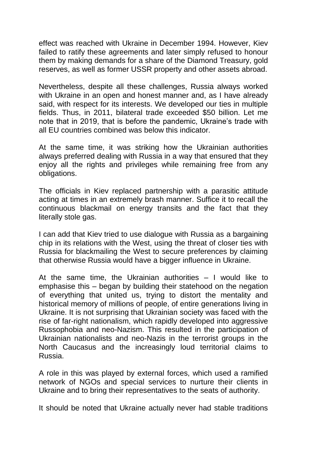effect was reached with Ukraine in December 1994. However, Kiev failed to ratify these agreements and later simply refused to honour them by making demands for a share of the Diamond Treasury, gold reserves, as well as former USSR property and other assets abroad.

Nevertheless, despite all these challenges, Russia always worked with Ukraine in an open and honest manner and, as I have already said, with respect for its interests. We developed our ties in multiple fields. Thus, in 2011, bilateral trade exceeded \$50 billion. Let me note that in 2019, that is before the pandemic, Ukraine's trade with all EU countries combined was below this indicator.

At the same time, it was striking how the Ukrainian authorities always preferred dealing with Russia in a way that ensured that they enjoy all the rights and privileges while remaining free from any obligations.

The officials in Kiev replaced partnership with a parasitic attitude acting at times in an extremely brash manner. Suffice it to recall the continuous blackmail on energy transits and the fact that they literally stole gas.

I can add that Kiev tried to use dialogue with Russia as a bargaining chip in its relations with the West, using the threat of closer ties with Russia for blackmailing the West to secure preferences by claiming that otherwise Russia would have a bigger influence in Ukraine.

At the same time, the Ukrainian authorities – I would like to emphasise this – began by building their statehood on the negation of everything that united us, trying to distort the mentality and historical memory of millions of people, of entire generations living in Ukraine. It is not surprising that Ukrainian society was faced with the rise of far-right nationalism, which rapidly developed into aggressive Russophobia and neo-Nazism. This resulted in the participation of Ukrainian nationalists and neo-Nazis in the terrorist groups in the North Caucasus and the increasingly loud territorial claims to Russia.

A role in this was played by external forces, which used a ramified network of NGOs and special services to nurture their clients in Ukraine and to bring their representatives to the seats of authority.

It should be noted that Ukraine actually never had stable traditions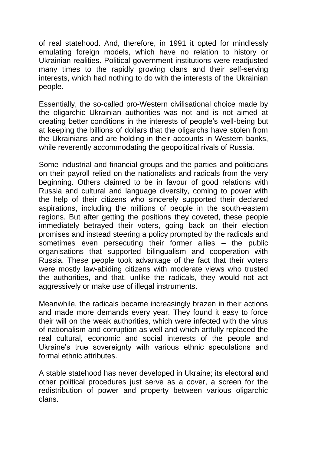of real statehood. And, therefore, in 1991 it opted for mindlessly emulating foreign models, which have no relation to history or Ukrainian realities. Political government institutions were readjusted many times to the rapidly growing clans and their self-serving interests, which had nothing to do with the interests of the Ukrainian people.

Essentially, the so-called pro-Western civilisational choice made by the oligarchic Ukrainian authorities was not and is not aimed at creating better conditions in the interests of people's well-being but at keeping the billions of dollars that the oligarchs have stolen from the Ukrainians and are holding in their accounts in Western banks, while reverently accommodating the geopolitical rivals of Russia.

Some industrial and financial groups and the parties and politicians on their payroll relied on the nationalists and radicals from the very beginning. Others claimed to be in favour of good relations with Russia and cultural and language diversity, coming to power with the help of their citizens who sincerely supported their declared aspirations, including the millions of people in the south-eastern regions. But after getting the positions they coveted, these people immediately betrayed their voters, going back on their election promises and instead steering a policy prompted by the radicals and sometimes even persecuting their former allies – the public organisations that supported bilingualism and cooperation with Russia. These people took advantage of the fact that their voters were mostly law-abiding citizens with moderate views who trusted the authorities, and that, unlike the radicals, they would not act aggressively or make use of illegal instruments.

Meanwhile, the radicals became increasingly brazen in their actions and made more demands every year. They found it easy to force their will on the weak authorities, which were infected with the virus of nationalism and corruption as well and which artfully replaced the real cultural, economic and social interests of the people and Ukraine's true sovereignty with various ethnic speculations and formal ethnic attributes.

A stable statehood has never developed in Ukraine; its electoral and other political procedures just serve as a cover, a screen for the redistribution of power and property between various oligarchic clans.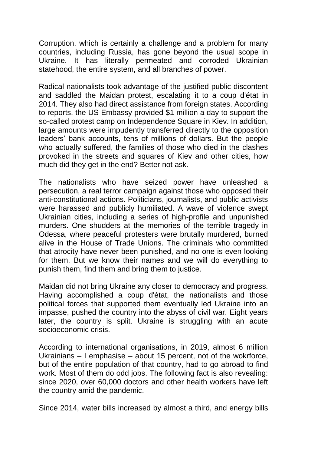Corruption, which is certainly a challenge and a problem for many countries, including Russia, has gone beyond the usual scope in Ukraine. It has literally permeated and corroded Ukrainian statehood, the entire system, and all branches of power.

Radical nationalists took advantage of the justified public discontent and saddled the Maidan protest, escalating it to a coup d'état in 2014. They also had direct assistance from foreign states. According to reports, the US Embassy provided \$1 million a day to support the so-called protest camp on Independence Square in Kiev. In addition, large amounts were impudently transferred directly to the opposition leaders' bank accounts, tens of millions of dollars. But the people who actually suffered, the families of those who died in the clashes provoked in the streets and squares of Kiev and other cities, how much did they get in the end? Better not ask.

The nationalists who have seized power have unleashed a persecution, a real terror campaign against those who opposed their anti-constitutional actions. Politicians, journalists, and public activists were harassed and publicly humiliated. A wave of violence swept Ukrainian cities, including a series of high-profile and unpunished murders. One shudders at the memories of the terrible tragedy in Odessa, where peaceful protesters were brutally murdered, burned alive in the House of Trade Unions. The criminals who committed that atrocity have never been punished, and no one is even looking for them. But we know their names and we will do everything to punish them, find them and bring them to justice.

Maidan did not bring Ukraine any closer to democracy and progress. Having accomplished a coup d'état, the nationalists and those political forces that supported them eventually led Ukraine into an impasse, pushed the country into the abyss of civil war. Eight years later, the country is split. Ukraine is struggling with an acute socioeconomic crisis.

According to international organisations, in 2019, almost 6 million Ukrainians – I emphasise – about 15 percent, not of the wokrforce, but of the entire population of that country, had to go abroad to find work. Most of them do odd jobs. The following fact is also revealing: since 2020, over 60,000 doctors and other health workers have left the country amid the pandemic.

Since 2014, water bills increased by almost a third, and energy bills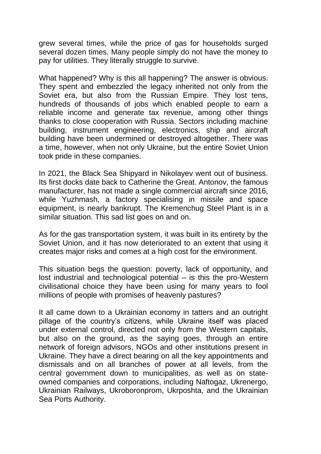grew several times, while the price of gas for households surged several dozen times. Many people simply do not have the money to pay for utilities. They literally struggle to survive.

What happened? Why is this all happening? The answer is obvious. They spent and embezzled the legacy inherited not only from the Soviet era, but also from the Russian Empire. They lost tens, hundreds of thousands of jobs which enabled people to earn a reliable income and generate tax revenue, among other things thanks to close cooperation with Russia. Sectors including machine building, instrument engineering, electronics, ship and aircraft building have been undermined or destroyed altogether. There was a time, however, when not only Ukraine, but the entire Soviet Union took pride in these companies.

In 2021, the Black Sea Shipyard in Nikolayev went out of business. Its first docks date back to Catherine the Great. Antonov, the famous manufacturer, has not made a single commercial aircraft since 2016, while Yuzhmash, a factory specialising in missile and space equipment, is nearly bankrupt. The Kremenchug Steel Plant is in a similar situation. This sad list goes on and on.

As for the gas transportation system, it was built in its entirety by the Soviet Union, and it has now deteriorated to an extent that using it creates major risks and comes at a high cost for the environment.

This situation begs the question: poverty, lack of opportunity, and lost industrial and technological potential – is this the pro-Western civilisational choice they have been using for many years to fool millions of people with promises of heavenly pastures?

It all came down to a Ukrainian economy in tatters and an outright pillage of the country's citizens, while Ukraine itself was placed under external control, directed not only from the Western capitals, but also on the ground, as the saying goes, through an entire network of foreign advisors, NGOs and other institutions present in Ukraine. They have a direct bearing on all the key appointments and dismissals and on all branches of power at all levels, from the central government down to municipalities, as well as on stateowned companies and corporations, including Naftogaz, Ukrenergo, Ukrainian Railways, Ukroboronprom, Ukrposhta, and the Ukrainian Sea Ports Authority.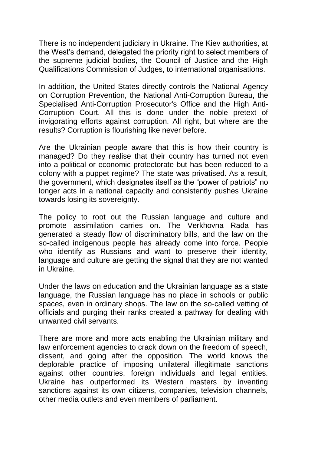There is no independent judiciary in Ukraine. The Kiev authorities, at the West's demand, delegated the priority right to select members of the supreme judicial bodies, the Council of Justice and the High Qualifications Commission of Judges, to international organisations.

In addition, the United States directly controls the National Agency on Corruption Prevention, the National Anti-Corruption Bureau, the Specialised Anti-Corruption Prosecutor's Office and the High Anti-Corruption Court. All this is done under the noble pretext of invigorating efforts against corruption. All right, but where are the results? Corruption is flourishing like never before.

Are the Ukrainian people aware that this is how their country is managed? Do they realise that their country has turned not even into a political or economic protectorate but has been reduced to a colony with a puppet regime? The state was privatised. As a result, the government, which designates itself as the "power of patriots" no longer acts in a national capacity and consistently pushes Ukraine towards losing its sovereignty.

The policy to root out the Russian language and culture and promote assimilation carries on. The Verkhovna Rada has generated a steady flow of discriminatory bills, and the law on the so-called indigenous people has already come into force. People who identify as Russians and want to preserve their identity, language and culture are getting the signal that they are not wanted in Ukraine.

Under the laws on education and the Ukrainian language as a state language, the Russian language has no place in schools or public spaces, even in ordinary shops. The law on the so-called vetting of officials and purging their ranks created a pathway for dealing with unwanted civil servants.

There are more and more acts enabling the Ukrainian military and law enforcement agencies to crack down on the freedom of speech, dissent, and going after the opposition. The world knows the deplorable practice of imposing unilateral illegitimate sanctions against other countries, foreign individuals and legal entities. Ukraine has outperformed its Western masters by inventing sanctions against its own citizens, companies, television channels, other media outlets and even members of parliament.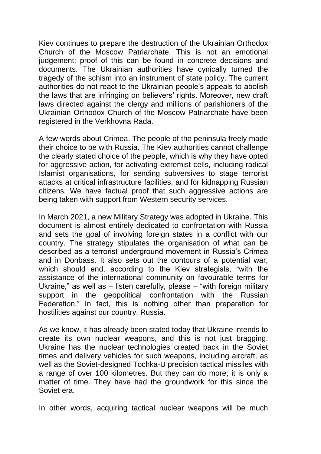Kiev continues to prepare the destruction of the Ukrainian Orthodox Church of the Moscow Patriarchate. This is not an emotional judgement; proof of this can be found in concrete decisions and documents. The Ukrainian authorities have cynically turned the tragedy of the schism into an instrument of state policy. The current authorities do not react to the Ukrainian people's appeals to abolish the laws that are infringing on believers' rights. Moreover, new draft laws directed against the clergy and millions of parishioners of the Ukrainian Orthodox Church of the Moscow Patriarchate have been registered in the Verkhovna Rada.

A few words about Crimea. The people of the peninsula freely made their choice to be with Russia. The Kiev authorities cannot challenge the clearly stated choice of the people, which is why they have opted for aggressive action, for activating extremist cells, including radical Islamist organisations, for sending subversives to stage terrorist attacks at critical infrastructure facilities, and for kidnapping Russian citizens. We have factual proof that such aggressive actions are being taken with support from Western security services.

In March 2021, a new Military Strategy was adopted in Ukraine. This document is almost entirely dedicated to confrontation with Russia and sets the goal of involving foreign states in a conflict with our country. The strategy stipulates the organisation of what can be described as a terrorist underground movement in Russia's Crimea and in Donbass. It also sets out the contours of a potential war, which should end, according to the Kiev strategists, "with the assistance of the international community on favourable terms for Ukraine," as well as – listen carefully, please – "with foreign military support in the geopolitical confrontation with the Russian Federation." In fact, this is nothing other than preparation for hostilities against our country, Russia.

As we know, it has already been stated today that Ukraine intends to create its own nuclear weapons, and this is not just bragging. Ukraine has the nuclear technologies created back in the Soviet times and delivery vehicles for such weapons, including aircraft, as well as the Soviet-designed Tochka-U precision tactical missiles with a range of over 100 kilometres. But they can do more; it is only a matter of time. They have had the groundwork for this since the Soviet era.

In other words, acquiring tactical nuclear weapons will be much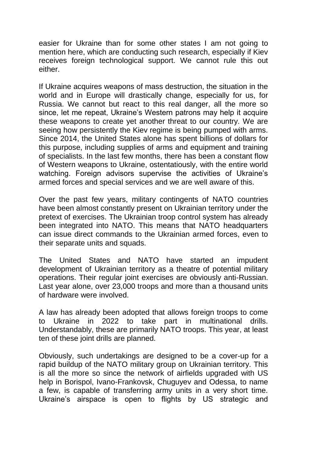easier for Ukraine than for some other states I am not going to mention here, which are conducting such research, especially if Kiev receives foreign technological support. We cannot rule this out either.

If Ukraine acquires weapons of mass destruction, the situation in the world and in Europe will drastically change, especially for us, for Russia. We cannot but react to this real danger, all the more so since, let me repeat, Ukraine's Western patrons may help it acquire these weapons to create yet another threat to our country. We are seeing how persistently the Kiev regime is being pumped with arms. Since 2014, the United States alone has spent billions of dollars for this purpose, including supplies of arms and equipment and training of specialists. In the last few months, there has been a constant flow of Western weapons to Ukraine, ostentatiously, with the entire world watching. Foreign advisors supervise the activities of Ukraine's armed forces and special services and we are well aware of this.

Over the past few years, military contingents of NATO countries have been almost constantly present on Ukrainian territory under the pretext of exercises. The Ukrainian troop control system has already been integrated into NATO. This means that NATO headquarters can issue direct commands to the Ukrainian armed forces, even to their separate units and squads.

The United States and NATO have started an impudent development of Ukrainian territory as a theatre of potential military operations. Their regular joint exercises are obviously anti-Russian. Last year alone, over 23,000 troops and more than a thousand units of hardware were involved.

A law has already been adopted that allows foreign troops to come to Ukraine in 2022 to take part in multinational drills. Understandably, these are primarily NATO troops. This year, at least ten of these joint drills are planned.

Obviously, such undertakings are designed to be a cover-up for a rapid buildup of the NATO military group on Ukrainian territory. This is all the more so since the network of airfields upgraded with US help in Borispol, Ivano-Frankovsk, Chuguyev and Odessa, to name a few, is capable of transferring army units in a very short time. Ukraine's airspace is open to flights by US strategic and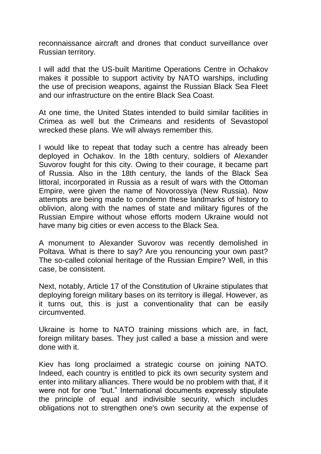reconnaissance aircraft and drones that conduct surveillance over Russian territory.

I will add that the US-built Maritime Operations Centre in Ochakov makes it possible to support activity by NATO warships, including the use of precision weapons, against the Russian Black Sea Fleet and our infrastructure on the entire Black Sea Coast.

At one time, the United States intended to build similar facilities in Crimea as well but the Crimeans and residents of Sevastopol wrecked these plans. We will always remember this.

I would like to repeat that today such a centre has already been deployed in Ochakov. In the 18th century, soldiers of Alexander Suvorov fought for this city. Owing to their courage, it became part of Russia. Also in the 18th century, the lands of the Black Sea littoral, incorporated in Russia as a result of wars with the Ottoman Empire, were given the name of Novorossiya (New Russia). Now attempts are being made to condemn these landmarks of history to oblivion, along with the names of state and military figures of the Russian Empire without whose efforts modern Ukraine would not have many big cities or even access to the Black Sea.

A monument to Alexander Suvorov was recently demolished in Poltava. What is there to say? Are you renouncing your own past? The so-called colonial heritage of the Russian Empire? Well, in this case, be consistent.

Next, notably, Article 17 of the Constitution of Ukraine stipulates that deploying foreign military bases on its territory is illegal. However, as it turns out, this is just a conventionality that can be easily circumvented.

Ukraine is home to NATO training missions which are, in fact, foreign military bases. They just called a base a mission and were done with it.

Kiev has long proclaimed a strategic course on joining NATO. Indeed, each country is entitled to pick its own security system and enter into military alliances. There would be no problem with that, if it were not for one "but." International documents expressly stipulate the principle of equal and indivisible security, which includes obligations not to strengthen one's own security at the expense of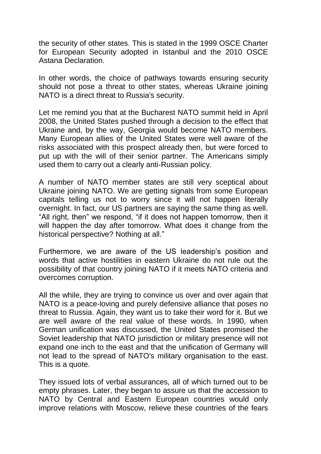the security of other states. This is stated in the 1999 OSCE Charter for European Security adopted in Istanbul and the 2010 OSCE Astana Declaration.

In other words, the choice of pathways towards ensuring security should not pose a threat to other states, whereas Ukraine joining NATO is a direct threat to Russia's security.

Let me remind you that at the Bucharest NATO summit held in April 2008, the United States pushed through a decision to the effect that Ukraine and, by the way, Georgia would become NATO members. Many European allies of the United States were well aware of the risks associated with this prospect already then, but were forced to put up with the will of their senior partner. The Americans simply used them to carry out a clearly anti-Russian policy.

A number of NATO member states are still very sceptical about Ukraine joining NATO. We are getting signals from some European capitals telling us not to worry since it will not happen literally overnight. In fact, our US partners are saying the same thing as well. "All right, then" we respond, "if it does not happen tomorrow, then it will happen the day after tomorrow. What does it change from the historical perspective? Nothing at all."

Furthermore, we are aware of the US leadership's position and words that active hostilities in eastern Ukraine do not rule out the possibility of that country joining NATO if it meets NATO criteria and overcomes corruption.

All the while, they are trying to convince us over and over again that NATO is a peace-loving and purely defensive alliance that poses no threat to Russia. Again, they want us to take their word for it. But we are well aware of the real value of these words. In 1990, when German unification was discussed, the United States promised the Soviet leadership that NATO jurisdiction or military presence will not expand one inch to the east and that the unification of Germany will not lead to the spread of NATO's military organisation to the east. This is a quote.

They issued lots of verbal assurances, all of which turned out to be empty phrases. Later, they began to assure us that the accession to NATO by Central and Eastern European countries would only improve relations with Moscow, relieve these countries of the fears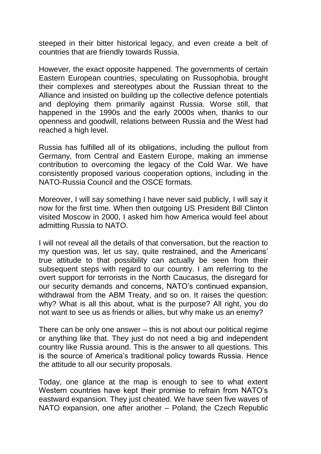steeped in their bitter historical legacy, and even create a belt of countries that are friendly towards Russia.

However, the exact opposite happened. The governments of certain Eastern European countries, speculating on Russophobia, brought their complexes and stereotypes about the Russian threat to the Alliance and insisted on building up the collective defence potentials and deploying them primarily against Russia. Worse still, that happened in the 1990s and the early 2000s when, thanks to our openness and goodwill, relations between Russia and the West had reached a high level.

Russia has fulfilled all of its obligations, including the pullout from Germany, from Central and Eastern Europe, making an immense contribution to overcoming the legacy of the Cold War. We have consistently proposed various cooperation options, including in the NATO-Russia Council and the OSCE formats.

Moreover, I will say something I have never said publicly, I will say it now for the first time. When then outgoing US President Bill Clinton visited Moscow in 2000, I asked him how America would feel about admitting Russia to NATO.

I will not reveal all the details of that conversation, but the reaction to my question was, let us say, quite restrained, and the Americans' true attitude to that possibility can actually be seen from their subsequent steps with regard to our country. I am referring to the overt support for terrorists in the North Caucasus, the disregard for our security demands and concerns, NATO's continued expansion, withdrawal from the ABM Treaty, and so on. It raises the question: why? What is all this about, what is the purpose? All right, you do not want to see us as friends or allies, but why make us an enemy?

There can be only one answer – this is not about our political regime or anything like that. They just do not need a big and independent country like Russia around. This is the answer to all questions. This is the source of America's traditional policy towards Russia. Hence the attitude to all our security proposals.

Today, one glance at the map is enough to see to what extent Western countries have kept their promise to refrain from NATO's eastward expansion. They just cheated. We have seen five waves of NATO expansion, one after another – Poland, the Czech Republic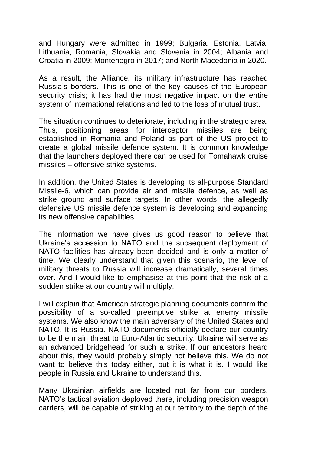and Hungary were admitted in 1999; Bulgaria, Estonia, Latvia, Lithuania, Romania, Slovakia and Slovenia in 2004; Albania and Croatia in 2009; Montenegro in 2017; and North Macedonia in 2020.

As a result, the Alliance, its military infrastructure has reached Russia's borders. This is one of the key causes of the European security crisis; it has had the most negative impact on the entire system of international relations and led to the loss of mutual trust.

The situation continues to deteriorate, including in the strategic area. Thus, positioning areas for interceptor missiles are being established in Romania and Poland as part of the US project to create a global missile defence system. It is common knowledge that the launchers deployed there can be used for Tomahawk cruise missiles – offensive strike systems.

In addition, the United States is developing its all-purpose Standard Missile-6, which can provide air and missile defence, as well as strike ground and surface targets. In other words, the allegedly defensive US missile defence system is developing and expanding its new offensive capabilities.

The information we have gives us good reason to believe that Ukraine's accession to NATO and the subsequent deployment of NATO facilities has already been decided and is only a matter of time. We clearly understand that given this scenario, the level of military threats to Russia will increase dramatically, several times over. And I would like to emphasise at this point that the risk of a sudden strike at our country will multiply.

I will explain that American strategic planning documents confirm the possibility of a so-called preemptive strike at enemy missile systems. We also know the main adversary of the United States and NATO. It is Russia. NATO documents officially declare our country to be the main threat to Euro-Atlantic security. Ukraine will serve as an advanced bridgehead for such a strike. If our ancestors heard about this, they would probably simply not believe this. We do not want to believe this today either, but it is what it is. I would like people in Russia and Ukraine to understand this.

Many Ukrainian airfields are located not far from our borders. NATO's tactical aviation deployed there, including precision weapon carriers, will be capable of striking at our territory to the depth of the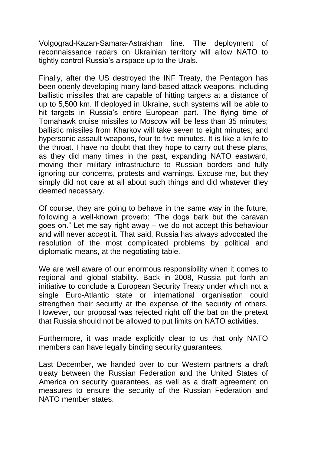Volgograd-Kazan-Samara-Astrakhan line. The deployment of reconnaissance radars on Ukrainian territory will allow NATO to tightly control Russia's airspace up to the Urals.

Finally, after the US destroyed the INF Treaty, the Pentagon has been openly developing many land-based attack weapons, including ballistic missiles that are capable of hitting targets at a distance of up to 5,500 km. If deployed in Ukraine, such systems will be able to hit targets in Russia's entire European part. The flying time of Tomahawk cruise missiles to Moscow will be less than 35 minutes; ballistic missiles from Kharkov will take seven to eight minutes; and hypersonic assault weapons, four to five minutes. It is like a knife to the throat. I have no doubt that they hope to carry out these plans, as they did many times in the past, expanding NATO eastward, moving their military infrastructure to Russian borders and fully ignoring our concerns, protests and warnings. Excuse me, but they simply did not care at all about such things and did whatever they deemed necessary.

Of course, they are going to behave in the same way in the future, following a well-known proverb: "The dogs bark but the caravan goes on." Let me say right away – we do not accept this behaviour and will never accept it. That said, Russia has always advocated the resolution of the most complicated problems by political and diplomatic means, at the negotiating table.

We are well aware of our enormous responsibility when it comes to regional and global stability. Back in 2008, Russia put forth an initiative to conclude a European Security Treaty under which not a single Euro-Atlantic state or international organisation could strengthen their security at the expense of the security of others. However, our proposal was rejected right off the bat on the pretext that Russia should not be allowed to put limits on NATO activities.

Furthermore, it was made explicitly clear to us that only NATO members can have legally binding security guarantees.

Last December, we handed over to our Western partners a draft treaty between the Russian Federation and the United States of America on security guarantees, as well as a draft agreement on measures to ensure the security of the Russian Federation and NATO member states.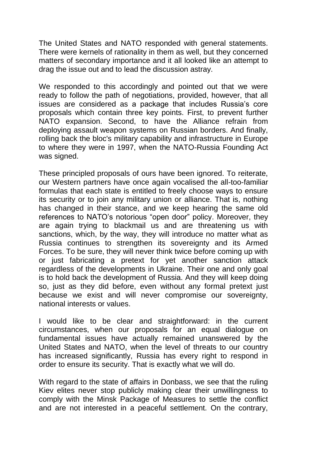The United States and NATO responded with general statements. There were kernels of rationality in them as well, but they concerned matters of secondary importance and it all looked like an attempt to drag the issue out and to lead the discussion astray.

We responded to this accordingly and pointed out that we were ready to follow the path of negotiations, provided, however, that all issues are considered as a package that includes Russia's core proposals which contain three key points. First, to prevent further NATO expansion. Second, to have the Alliance refrain from deploying assault weapon systems on Russian borders. And finally, rolling back the bloc's military capability and infrastructure in Europe to where they were in 1997, when the NATO-Russia Founding Act was signed.

These principled proposals of ours have been ignored. To reiterate, our Western partners have once again vocalised the all-too-familiar formulas that each state is entitled to freely choose ways to ensure its security or to join any military union or alliance. That is, nothing has changed in their stance, and we keep hearing the same old references to NATO's notorious "open door" policy. Moreover, they are again trying to blackmail us and are threatening us with sanctions, which, by the way, they will introduce no matter what as Russia continues to strengthen its sovereignty and its Armed Forces. To be sure, they will never think twice before coming up with or just fabricating a pretext for yet another sanction attack regardless of the developments in Ukraine. Their one and only goal is to hold back the development of Russia. And they will keep doing so, just as they did before, even without any formal pretext just because we exist and will never compromise our sovereignty, national interests or values.

I would like to be clear and straightforward: in the current circumstances, when our proposals for an equal dialogue on fundamental issues have actually remained unanswered by the United States and NATO, when the level of threats to our country has increased significantly, Russia has every right to respond in order to ensure its security. That is exactly what we will do.

With regard to the state of affairs in Donbass, we see that the ruling Kiev elites never stop publicly making clear their unwillingness to comply with the Minsk Package of Measures to settle the conflict and are not interested in a peaceful settlement. On the contrary,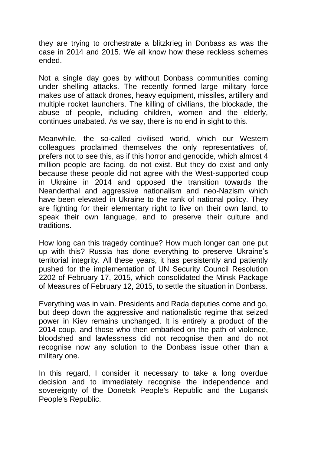they are trying to orchestrate a blitzkrieg in Donbass as was the case in 2014 and 2015. We all know how these reckless schemes ended.

Not a single day goes by without Donbass communities coming under shelling attacks. The recently formed large military force makes use of attack drones, heavy equipment, missiles, artillery and multiple rocket launchers. The killing of civilians, the blockade, the abuse of people, including children, women and the elderly, continues unabated. As we say, there is no end in sight to this.

Meanwhile, the so-called civilised world, which our Western colleagues proclaimed themselves the only representatives of, prefers not to see this, as if this horror and genocide, which almost 4 million people are facing, do not exist. But they do exist and only because these people did not agree with the West-supported coup in Ukraine in 2014 and opposed the transition towards the Neanderthal and aggressive nationalism and neo-Nazism which have been elevated in Ukraine to the rank of national policy. They are fighting for their elementary right to live on their own land, to speak their own language, and to preserve their culture and traditions.

How long can this tragedy continue? How much longer can one put up with this? Russia has done everything to preserve Ukraine's territorial integrity. All these years, it has persistently and patiently pushed for the implementation of UN Security Council Resolution 2202 of February 17, 2015, which consolidated the Minsk Package of Measures of February 12, 2015, to settle the situation in Donbass.

Everything was in vain. Presidents and Rada deputies come and go, but deep down the aggressive and nationalistic regime that seized power in Kiev remains unchanged. It is entirely a product of the 2014 coup, and those who then embarked on the path of violence, bloodshed and lawlessness did not recognise then and do not recognise now any solution to the Donbass issue other than a military one.

In this regard, I consider it necessary to take a long overdue decision and to immediately recognise the independence and sovereignty of the Donetsk People's Republic and the Lugansk People's Republic.